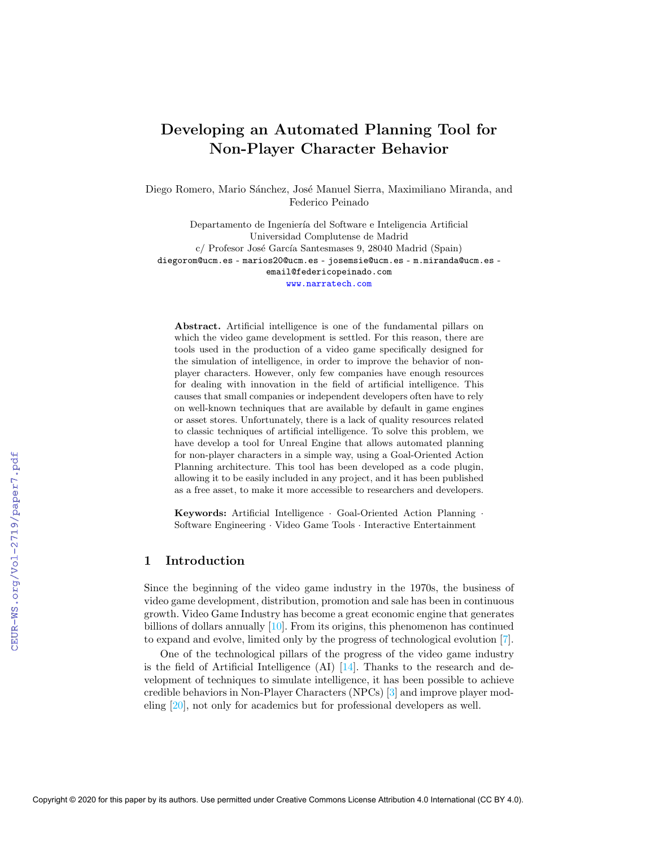# Developing an Automated Planning Tool for Non-Player Character Behavior

Diego Romero, Mario Sánchez, José Manuel Sierra, Maximiliano Miranda, and Federico Peinado

Departamento de Ingeniería del Software e Inteligencia Artificial Universidad Complutense de Madrid c/ Profesor José García Santesmases 9, 28040 Madrid (Spain) diegorom@ucm.es - marios20@ucm.es - josemsie@ucm.es - m.miranda@ucm.es email@federicopeinado.com <www.narratech.com>

Abstract. Artificial intelligence is one of the fundamental pillars on which the video game development is settled. For this reason, there are tools used in the production of a video game specifically designed for the simulation of intelligence, in order to improve the behavior of nonplayer characters. However, only few companies have enough resources for dealing with innovation in the field of artificial intelligence. This causes that small companies or independent developers often have to rely on well-known techniques that are available by default in game engines or asset stores. Unfortunately, there is a lack of quality resources related to classic techniques of artificial intelligence. To solve this problem, we have develop a tool for Unreal Engine that allows automated planning for non-player characters in a simple way, using a Goal-Oriented Action Planning architecture. This tool has been developed as a code plugin, allowing it to be easily included in any project, and it has been published as a free asset, to make it more accessible to researchers and developers.

Keywords: Artificial Intelligence · Goal-Oriented Action Planning · Software Engineering · Video Game Tools · Interactive Entertainment

## 1 Introduction

Since the beginning of the video game industry in the 1970s, the business of video game development, distribution, promotion and sale has been in continuous growth. Video Game Industry has become a great economic engine that generates billions of dollars annually [\[10\]](#page--1-0). From its origins, this phenomenon has continued to expand and evolve, limited only by the progress of technological evolution [\[7\]](#page--1-1).

One of the technological pillars of the progress of the video game industry is the field of Artificial Intelligence  $(AI)$  [\[14\]](#page--1-2). Thanks to the research and development of techniques to simulate intelligence, it has been possible to achieve credible behaviors in Non-Player Characters (NPCs) [\[3\]](#page--1-3) and improve player modeling [\[20\]](#page--1-4), not only for academics but for professional developers as well.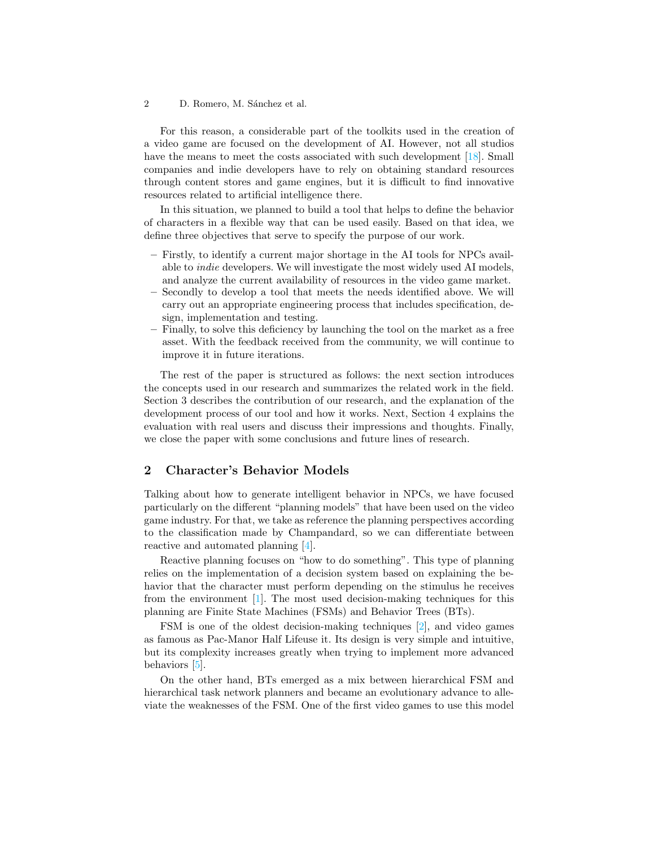For this reason, a considerable part of the toolkits used in the creation of a video game are focused on the development of AI. However, not all studios have the means to meet the costs associated with such development [\[18\]](#page-7-0). Small companies and indie developers have to rely on obtaining standard resources through content stores and game engines, but it is difficult to find innovative resources related to artificial intelligence there.

In this situation, we planned to build a tool that helps to define the behavior of characters in a flexible way that can be used easily. Based on that idea, we define three objectives that serve to specify the purpose of our work.

- Firstly, to identify a current major shortage in the AI tools for NPCs available to indie developers. We will investigate the most widely used AI models, and analyze the current availability of resources in the video game market.
- Secondly to develop a tool that meets the needs identified above. We will carry out an appropriate engineering process that includes specification, design, implementation and testing.
- Finally, to solve this deficiency by launching the tool on the market as a free asset. With the feedback received from the community, we will continue to improve it in future iterations.

The rest of the paper is structured as follows: the next section introduces the concepts used in our research and summarizes the related work in the field. Section [3](#page-2-0) describes the contribution of our research, and the explanation of the development process of our tool and how it works. Next, Section [4](#page-5-0) explains the evaluation with real users and discuss their impressions and thoughts. Finally, we close the paper with some conclusions and future lines of research.

# 2 Character's Behavior Models

Talking about how to generate intelligent behavior in NPCs, we have focused particularly on the different "planning models" that have been used on the video game industry. For that, we take as reference the planning perspectives according to the classification made by Champandard, so we can differentiate between reactive and automated planning [\[4\]](#page-7-1).

Reactive planning focuses on "how to do something". This type of planning relies on the implementation of a decision system based on explaining the behavior that the character must perform depending on the stimulus he receives from the environment  $[1]$ . The most used decision-making techniques for this planning are Finite State Machines (FSMs) and Behavior Trees (BTs).

FSM is one of the oldest decision-making techniques [\[2\]](#page-7-3), and video games as famous as Pac-Manor Half Lifeuse it. Its design is very simple and intuitive, but its complexity increases greatly when trying to implement more advanced behaviors [\[5\]](#page-7-4).

On the other hand, BTs emerged as a mix between hierarchical FSM and hierarchical task network planners and became an evolutionary advance to alleviate the weaknesses of the FSM. One of the first video games to use this model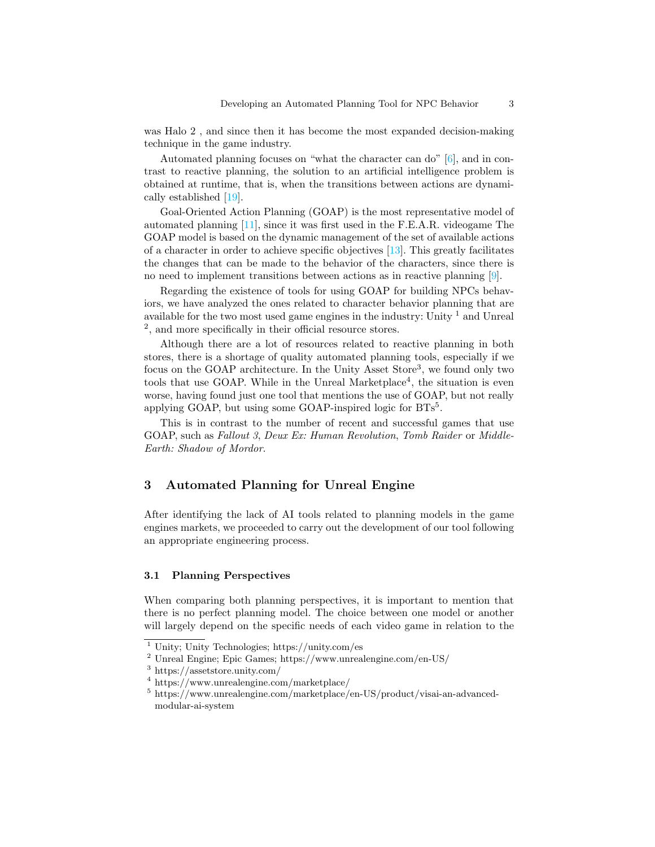was Halo 2 , and since then it has become the most expanded decision-making technique in the game industry.

Automated planning focuses on "what the character can do" [\[6\]](#page-7-5), and in contrast to reactive planning, the solution to an artificial intelligence problem is obtained at runtime, that is, when the transitions between actions are dynamically established [\[19\]](#page-7-6).

Goal-Oriented Action Planning (GOAP) is the most representative model of automated planning [\[11\]](#page-7-7), since it was first used in the F.E.A.R. videogame The GOAP model is based on the dynamic management of the set of available actions of a character in order to achieve specific objectives [\[13\]](#page-7-8). This greatly facilitates the changes that can be made to the behavior of the characters, since there is no need to implement transitions between actions as in reactive planning [\[9\]](#page-7-9).

Regarding the existence of tools for using GOAP for building NPCs behaviors, we have analyzed the ones related to character behavior planning that are available for the two most used game engines in the industry: Unity  $1$  and Unreal [2](#page-2-2) , and more specifically in their official resource stores.

Although there are a lot of resources related to reactive planning in both stores, there is a shortage of quality automated planning tools, especially if we focus on the GOAP architecture. In the Unity Asset Store<sup>[3](#page-2-3)</sup>, we found only two tools that use GOAP. While in the Unreal Marketplace<sup>[4](#page-2-4)</sup>, the situation is even worse, having found just one tool that mentions the use of GOAP, but not really applying GOAP, but using some GOAP-inspired logic for BTs<sup>[5](#page-2-5)</sup>.

This is in contrast to the number of recent and successful games that use GOAP, such as Fallout 3, Deux Ex: Human Revolution, Tomb Raider or Middle-Earth: Shadow of Mordor.

## <span id="page-2-0"></span>3 Automated Planning for Unreal Engine

After identifying the lack of AI tools related to planning models in the game engines markets, we proceeded to carry out the development of our tool following an appropriate engineering process.

### 3.1 Planning Perspectives

When comparing both planning perspectives, it is important to mention that there is no perfect planning model. The choice between one model or another will largely depend on the specific needs of each video game in relation to the

<span id="page-2-1"></span><sup>1</sup> Unity; Unity Technologies; https://unity.com/es

<span id="page-2-2"></span><sup>2</sup> Unreal Engine; Epic Games; https://www.unrealengine.com/en-US/

<span id="page-2-3"></span><sup>3</sup> https://assetstore.unity.com/

<span id="page-2-4"></span><sup>4</sup> https://www.unrealengine.com/marketplace/

<span id="page-2-5"></span><sup>5</sup> https://www.unrealengine.com/marketplace/en-US/product/visai-an-advancedmodular-ai-system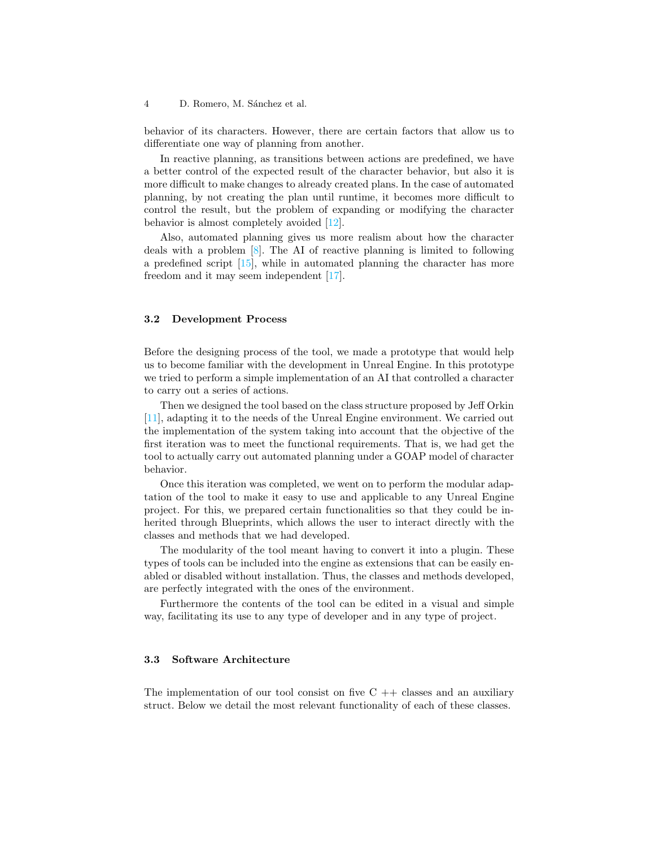behavior of its characters. However, there are certain factors that allow us to differentiate one way of planning from another.

In reactive planning, as transitions between actions are predefined, we have a better control of the expected result of the character behavior, but also it is more difficult to make changes to already created plans. In the case of automated planning, by not creating the plan until runtime, it becomes more difficult to control the result, but the problem of expanding or modifying the character behavior is almost completely avoided [\[12\]](#page-7-10).

Also, automated planning gives us more realism about how the character deals with a problem [\[8\]](#page-7-11). The AI of reactive planning is limited to following a predefined script [\[15\]](#page-7-12), while in automated planning the character has more freedom and it may seem independent [\[17\]](#page-7-13).

### 3.2 Development Process

Before the designing process of the tool, we made a prototype that would help us to become familiar with the development in Unreal Engine. In this prototype we tried to perform a simple implementation of an AI that controlled a character to carry out a series of actions.

Then we designed the tool based on the class structure proposed by Jeff Orkin [\[11\]](#page-7-7), adapting it to the needs of the Unreal Engine environment. We carried out the implementation of the system taking into account that the objective of the first iteration was to meet the functional requirements. That is, we had get the tool to actually carry out automated planning under a GOAP model of character behavior.

Once this iteration was completed, we went on to perform the modular adaptation of the tool to make it easy to use and applicable to any Unreal Engine project. For this, we prepared certain functionalities so that they could be inherited through Blueprints, which allows the user to interact directly with the classes and methods that we had developed.

The modularity of the tool meant having to convert it into a plugin. These types of tools can be included into the engine as extensions that can be easily enabled or disabled without installation. Thus, the classes and methods developed, are perfectly integrated with the ones of the environment.

Furthermore the contents of the tool can be edited in a visual and simple way, facilitating its use to any type of developer and in any type of project.

### 3.3 Software Architecture

The implementation of our tool consist on five  $C ++$  classes and an auxiliary struct. Below we detail the most relevant functionality of each of these classes.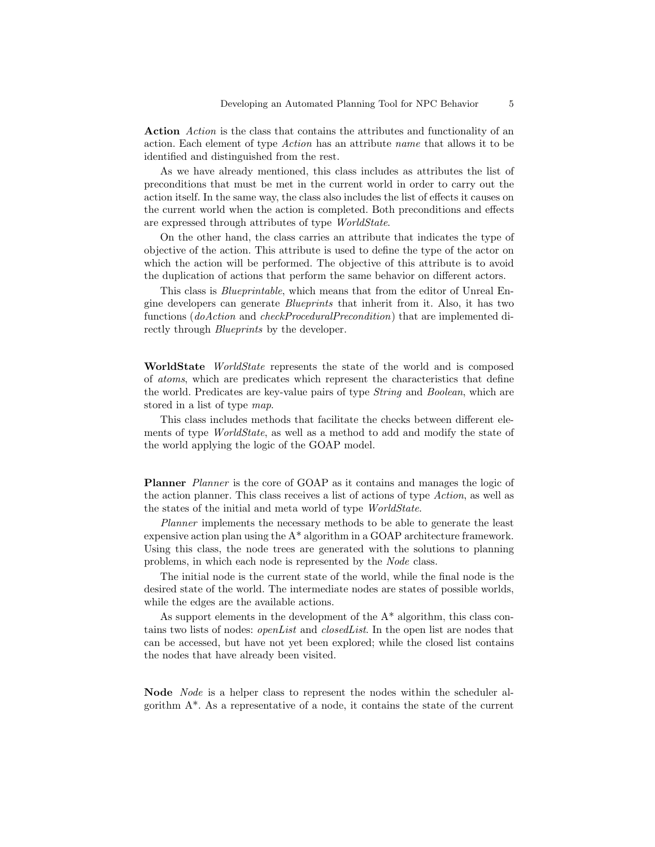Action Action is the class that contains the attributes and functionality of an action. Each element of type Action has an attribute name that allows it to be identified and distinguished from the rest.

As we have already mentioned, this class includes as attributes the list of preconditions that must be met in the current world in order to carry out the action itself. In the same way, the class also includes the list of effects it causes on the current world when the action is completed. Both preconditions and effects are expressed through attributes of type WorldState.

On the other hand, the class carries an attribute that indicates the type of objective of the action. This attribute is used to define the type of the actor on which the action will be performed. The objective of this attribute is to avoid the duplication of actions that perform the same behavior on different actors.

This class is Blueprintable, which means that from the editor of Unreal Engine developers can generate Blueprints that inherit from it. Also, it has two functions (doAction and checkProceduralPrecondition) that are implemented directly through *Blueprints* by the developer.

WorldState WorldState represents the state of the world and is composed of atoms, which are predicates which represent the characteristics that define the world. Predicates are key-value pairs of type String and Boolean, which are stored in a list of type map.

This class includes methods that facilitate the checks between different elements of type *WorldState*, as well as a method to add and modify the state of the world applying the logic of the GOAP model.

Planner *Planner* is the core of GOAP as it contains and manages the logic of the action planner. This class receives a list of actions of type Action, as well as the states of the initial and meta world of type WorldState.

Planner implements the necessary methods to be able to generate the least expensive action plan using the  $A^*$  algorithm in a GOAP architecture framework. Using this class, the node trees are generated with the solutions to planning problems, in which each node is represented by the Node class.

The initial node is the current state of the world, while the final node is the desired state of the world. The intermediate nodes are states of possible worlds, while the edges are the available actions.

As support elements in the development of the A\* algorithm, this class contains two lists of nodes: *openList* and *closedList*. In the open list are nodes that can be accessed, but have not yet been explored; while the closed list contains the nodes that have already been visited.

Node Node is a helper class to represent the nodes within the scheduler algorithm A\*. As a representative of a node, it contains the state of the current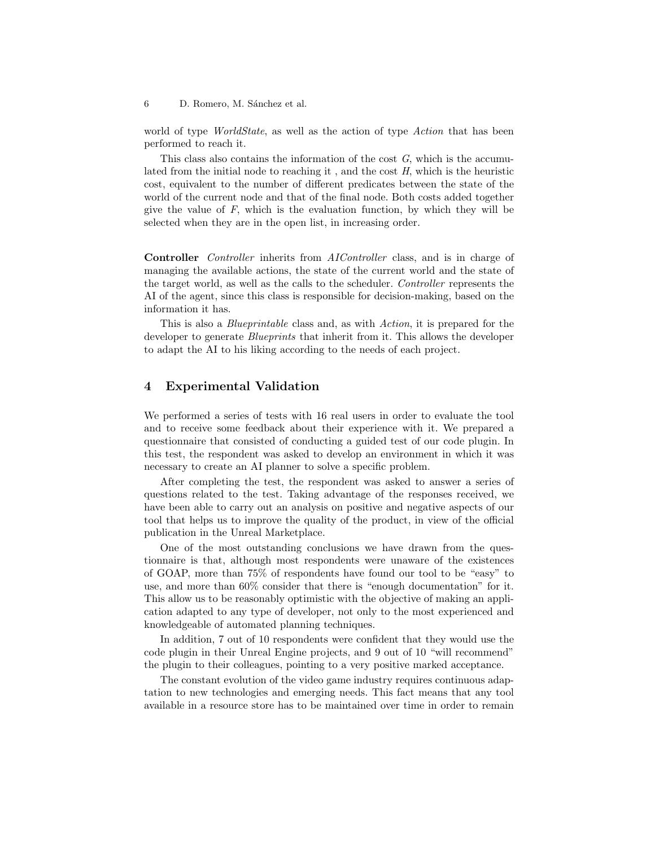world of type *WorldState*, as well as the action of type *Action* that has been performed to reach it.

This class also contains the information of the cost  $G$ , which is the accumulated from the initial node to reaching it , and the cost H, which is the heuristic cost, equivalent to the number of different predicates between the state of the world of the current node and that of the final node. Both costs added together give the value of  $F$ , which is the evaluation function, by which they will be selected when they are in the open list, in increasing order.

Controller Controller inherits from AIController class, and is in charge of managing the available actions, the state of the current world and the state of the target world, as well as the calls to the scheduler. Controller represents the AI of the agent, since this class is responsible for decision-making, based on the information it has.

This is also a Blueprintable class and, as with Action, it is prepared for the developer to generate *Blueprints* that inherit from it. This allows the developer to adapt the AI to his liking according to the needs of each project.

## <span id="page-5-0"></span>4 Experimental Validation

We performed a series of tests with 16 real users in order to evaluate the tool and to receive some feedback about their experience with it. We prepared a questionnaire that consisted of conducting a guided test of our code plugin. In this test, the respondent was asked to develop an environment in which it was necessary to create an AI planner to solve a specific problem.

After completing the test, the respondent was asked to answer a series of questions related to the test. Taking advantage of the responses received, we have been able to carry out an analysis on positive and negative aspects of our tool that helps us to improve the quality of the product, in view of the official publication in the Unreal Marketplace.

One of the most outstanding conclusions we have drawn from the questionnaire is that, although most respondents were unaware of the existences of GOAP, more than 75% of respondents have found our tool to be "easy" to use, and more than 60% consider that there is "enough documentation" for it. This allow us to be reasonably optimistic with the objective of making an application adapted to any type of developer, not only to the most experienced and knowledgeable of automated planning techniques.

In addition, 7 out of 10 respondents were confident that they would use the code plugin in their Unreal Engine projects, and 9 out of 10 "will recommend" the plugin to their colleagues, pointing to a very positive marked acceptance.

The constant evolution of the video game industry requires continuous adaptation to new technologies and emerging needs. This fact means that any tool available in a resource store has to be maintained over time in order to remain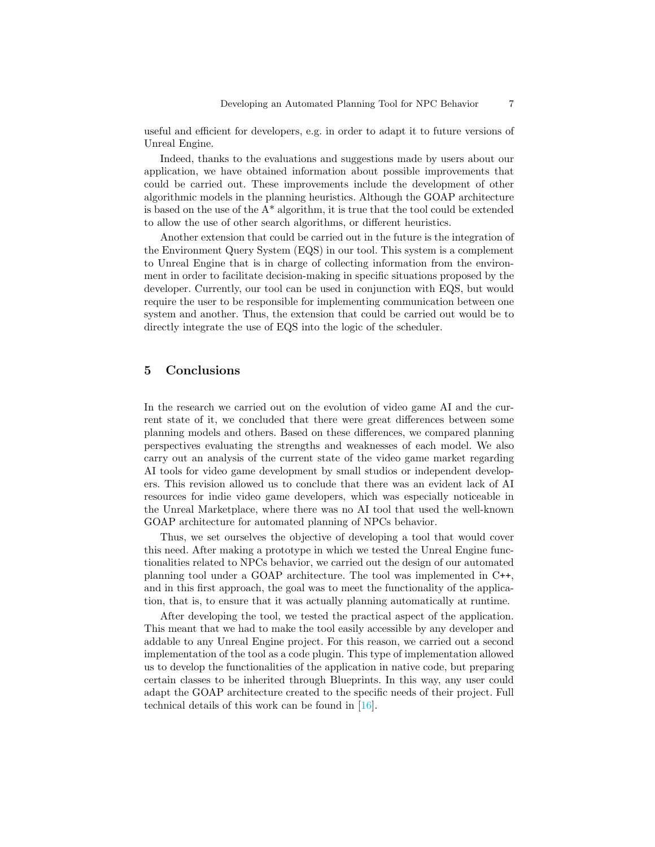useful and efficient for developers, e.g. in order to adapt it to future versions of Unreal Engine.

Indeed, thanks to the evaluations and suggestions made by users about our application, we have obtained information about possible improvements that could be carried out. These improvements include the development of other algorithmic models in the planning heuristics. Although the GOAP architecture is based on the use of the  $A^*$  algorithm, it is true that the tool could be extended to allow the use of other search algorithms, or different heuristics.

Another extension that could be carried out in the future is the integration of the Environment Query System (EQS) in our tool. This system is a complement to Unreal Engine that is in charge of collecting information from the environment in order to facilitate decision-making in specific situations proposed by the developer. Currently, our tool can be used in conjunction with EQS, but would require the user to be responsible for implementing communication between one system and another. Thus, the extension that could be carried out would be to directly integrate the use of EQS into the logic of the scheduler.

### 5 Conclusions

In the research we carried out on the evolution of video game AI and the current state of it, we concluded that there were great differences between some planning models and others. Based on these differences, we compared planning perspectives evaluating the strengths and weaknesses of each model. We also carry out an analysis of the current state of the video game market regarding AI tools for video game development by small studios or independent developers. This revision allowed us to conclude that there was an evident lack of AI resources for indie video game developers, which was especially noticeable in the Unreal Marketplace, where there was no AI tool that used the well-known GOAP architecture for automated planning of NPCs behavior.

Thus, we set ourselves the objective of developing a tool that would cover this need. After making a prototype in which we tested the Unreal Engine functionalities related to NPCs behavior, we carried out the design of our automated planning tool under a GOAP architecture. The tool was implemented in C++, and in this first approach, the goal was to meet the functionality of the application, that is, to ensure that it was actually planning automatically at runtime.

After developing the tool, we tested the practical aspect of the application. This meant that we had to make the tool easily accessible by any developer and addable to any Unreal Engine project. For this reason, we carried out a second implementation of the tool as a code plugin. This type of implementation allowed us to develop the functionalities of the application in native code, but preparing certain classes to be inherited through Blueprints. In this way, any user could adapt the GOAP architecture created to the specific needs of their project. Full technical details of this work can be found in [\[16\]](#page-7-14).